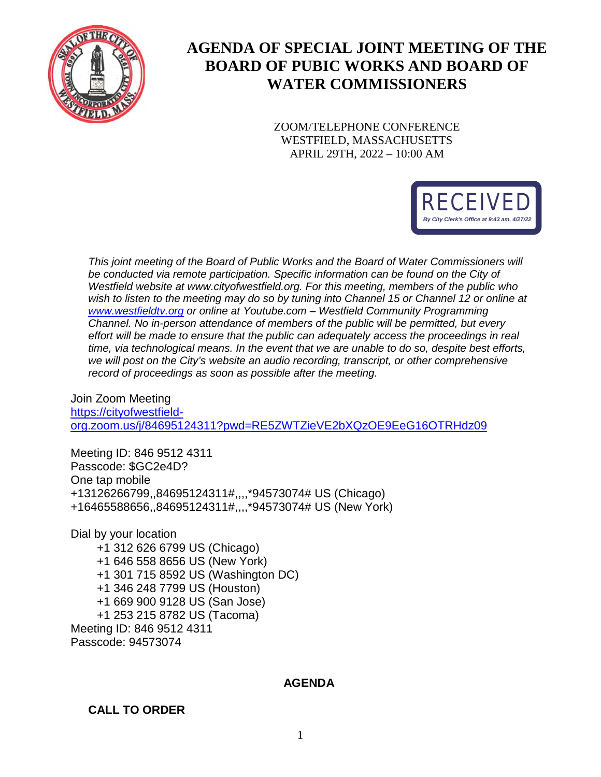

# **AGENDA OF SPECIAL JOINT MEETING OF THE BOARD OF PUBIC WORKS AND BOARD OF WATER COMMISSIONERS**

ZOOM/TELEPHONE CONFERENCE WESTFIELD, MASSACHUSETTS APRIL 29TH, 2022 – 10:00 AM



*This joint meeting of the Board of Public Works and the Board of Water Commissioners will be conducted via remote participation. Specific information can be found on the City of Westfield website at www.cityofwestfield.org. For this meeting, members of the public who wish to listen to the meeting may do so by tuning into Channel 15 or Channel 12 or online at [www.westfieldtv.org](http://www.westfieldtv.org/) or online at Youtube.com – Westfield Community Programming Channel. No in-person attendance of members of the public will be permitted, but every effort will be made to ensure that the public can adequately access the proceedings in real time, via technological means. In the event that we are unable to do so, despite best efforts, we will post on the City's website an audio recording, transcript, or other comprehensive record of proceedings as soon as possible after the meeting.* 

Join Zoom Meeting [https://cityofwestfield](https://cityofwestfield-org.zoom.us/j/84695124311?pwd=RE5ZWTZieVE2bXQzOE9EeG16OTRHdz09)[org.zoom.us/j/84695124311?pwd=RE5ZWTZieVE2bXQzOE9EeG16OTRHdz09](https://cityofwestfield-org.zoom.us/j/84695124311?pwd=RE5ZWTZieVE2bXQzOE9EeG16OTRHdz09)

Meeting ID: 846 9512 4311 Passcode: \$GC2e4D? One tap mobile +13126266799,,84695124311#,,,,\*94573074# US (Chicago) +16465588656,,84695124311#,,,,\*94573074# US (New York)

Dial by your location +1 312 626 6799 US (Chicago) +1 646 558 8656 US (New York) +1 301 715 8592 US (Washington DC) +1 346 248 7799 US (Houston) +1 669 900 9128 US (San Jose) +1 253 215 8782 US (Tacoma) Meeting ID: 846 9512 4311 Passcode: 94573074

### **AGENDA**

**CALL TO ORDER**